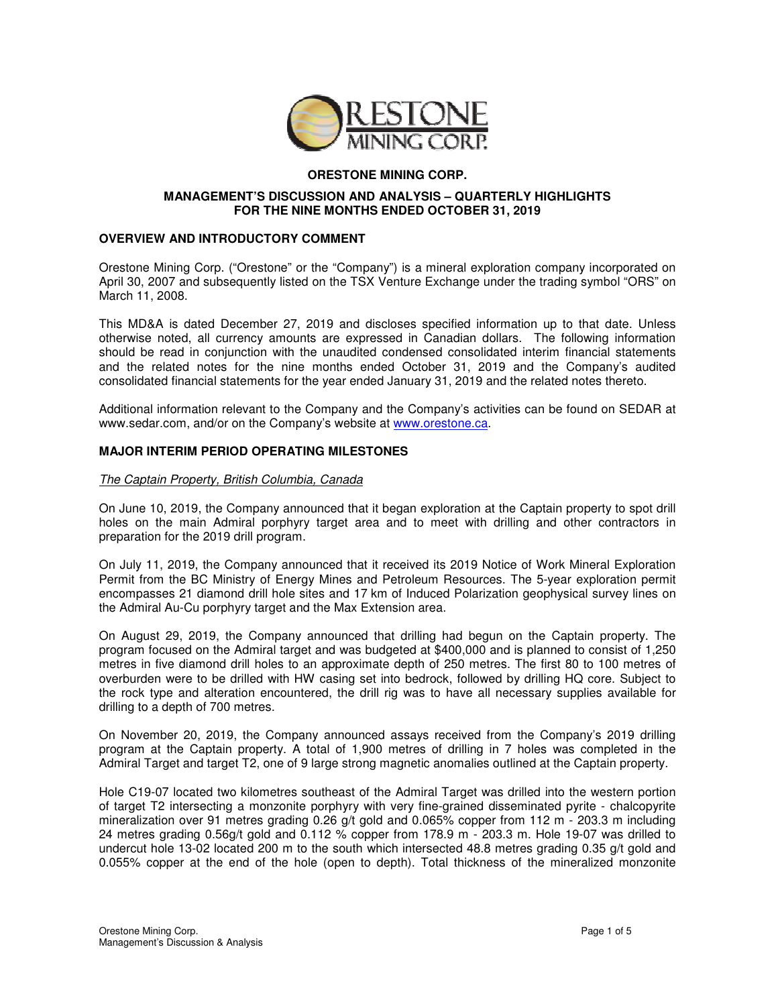

# **ORESTONE MINING CORP.**

### **MANAGEMENT'S DISCUSSION AND ANALYSIS – QUARTERLY HIGHLIGHTS FOR THE NINE MONTHS ENDED OCTOBER 31, 2019**

### **OVERVIEW AND INTRODUCTORY COMMENT**

Orestone Mining Corp. ("Orestone" or the "Company") is a mineral exploration company incorporated on April 30, 2007 and subsequently listed on the TSX Venture Exchange under the trading symbol "ORS" on March 11, 2008.

This MD&A is dated December 27, 2019 and discloses specified information up to that date. Unless otherwise noted, all currency amounts are expressed in Canadian dollars. The following information should be read in conjunction with the unaudited condensed consolidated interim financial statements and the related notes for the nine months ended October 31, 2019 and the Company's audited consolidated financial statements for the year ended January 31, 2019 and the related notes thereto.

Additional information relevant to the Company and the Company's activities can be found on SEDAR at www.sedar.com, and/or on the Company's website at www.orestone.ca.

# **MAJOR INTERIM PERIOD OPERATING MILESTONES**

### The Captain Property, British Columbia, Canada

On June 10, 2019, the Company announced that it began exploration at the Captain property to spot drill holes on the main Admiral porphyry target area and to meet with drilling and other contractors in preparation for the 2019 drill program.

On July 11, 2019, the Company announced that it received its 2019 Notice of Work Mineral Exploration Permit from the BC Ministry of Energy Mines and Petroleum Resources. The 5-year exploration permit encompasses 21 diamond drill hole sites and 17 km of Induced Polarization geophysical survey lines on the Admiral Au-Cu porphyry target and the Max Extension area.

On August 29, 2019, the Company announced that drilling had begun on the Captain property. The program focused on the Admiral target and was budgeted at \$400,000 and is planned to consist of 1,250 metres in five diamond drill holes to an approximate depth of 250 metres. The first 80 to 100 metres of overburden were to be drilled with HW casing set into bedrock, followed by drilling HQ core. Subject to the rock type and alteration encountered, the drill rig was to have all necessary supplies available for drilling to a depth of 700 metres.

On November 20, 2019, the Company announced assays received from the Company's 2019 drilling program at the Captain property. A total of 1,900 metres of drilling in 7 holes was completed in the Admiral Target and target T2, one of 9 large strong magnetic anomalies outlined at the Captain property.

Hole C19-07 located two kilometres southeast of the Admiral Target was drilled into the western portion of target T2 intersecting a monzonite porphyry with very fine-grained disseminated pyrite - chalcopyrite mineralization over 91 metres grading 0.26 g/t gold and 0.065% copper from 112 m - 203.3 m including 24 metres grading 0.56g/t gold and 0.112 % copper from 178.9 m - 203.3 m. Hole 19-07 was drilled to undercut hole 13-02 located 200 m to the south which intersected 48.8 metres grading 0.35 g/t gold and 0.055% copper at the end of the hole (open to depth). Total thickness of the mineralized monzonite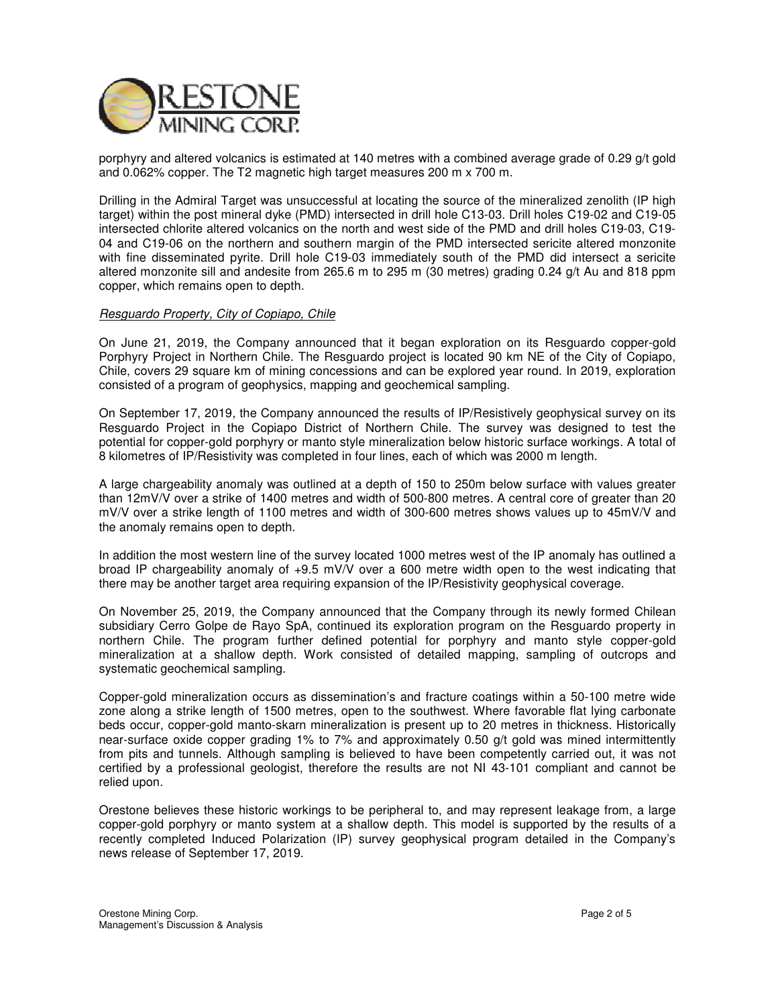

porphyry and altered volcanics is estimated at 140 metres with a combined average grade of 0.29 g/t gold and 0.062% copper. The T2 magnetic high target measures 200 m x 700 m.

Drilling in the Admiral Target was unsuccessful at locating the source of the mineralized zenolith (IP high target) within the post mineral dyke (PMD) intersected in drill hole C13-03. Drill holes C19-02 and C19-05 intersected chlorite altered volcanics on the north and west side of the PMD and drill holes C19-03, C19- 04 and C19-06 on the northern and southern margin of the PMD intersected sericite altered monzonite with fine disseminated pyrite. Drill hole C19-03 immediately south of the PMD did intersect a sericite altered monzonite sill and andesite from 265.6 m to 295 m (30 metres) grading 0.24 g/t Au and 818 ppm copper, which remains open to depth.

### Resguardo Property, City of Copiapo, Chile

On June 21, 2019, the Company announced that it began exploration on its Resguardo copper-gold Porphyry Project in Northern Chile. The Resguardo project is located 90 km NE of the City of Copiapo, Chile, covers 29 square km of mining concessions and can be explored year round. In 2019, exploration consisted of a program of geophysics, mapping and geochemical sampling.

On September 17, 2019, the Company announced the results of IP/Resistively geophysical survey on its Resguardo Project in the Copiapo District of Northern Chile. The survey was designed to test the potential for copper-gold porphyry or manto style mineralization below historic surface workings. A total of 8 kilometres of IP/Resistivity was completed in four lines, each of which was 2000 m length.

A large chargeability anomaly was outlined at a depth of 150 to 250m below surface with values greater than 12mV/V over a strike of 1400 metres and width of 500-800 metres. A central core of greater than 20 mV/V over a strike length of 1100 metres and width of 300-600 metres shows values up to 45mV/V and the anomaly remains open to depth.

In addition the most western line of the survey located 1000 metres west of the IP anomaly has outlined a broad IP chargeability anomaly of +9.5 mV/V over a 600 metre width open to the west indicating that there may be another target area requiring expansion of the IP/Resistivity geophysical coverage.

On November 25, 2019, the Company announced that the Company through its newly formed Chilean subsidiary Cerro Golpe de Rayo SpA, continued its exploration program on the Resguardo property in northern Chile. The program further defined potential for porphyry and manto style copper-gold mineralization at a shallow depth. Work consisted of detailed mapping, sampling of outcrops and systematic geochemical sampling.

Copper-gold mineralization occurs as dissemination's and fracture coatings within a 50-100 metre wide zone along a strike length of 1500 metres, open to the southwest. Where favorable flat lying carbonate beds occur, copper-gold manto-skarn mineralization is present up to 20 metres in thickness. Historically near-surface oxide copper grading 1% to 7% and approximately 0.50 g/t gold was mined intermittently from pits and tunnels. Although sampling is believed to have been competently carried out, it was not certified by a professional geologist, therefore the results are not NI 43-101 compliant and cannot be relied upon.

Orestone believes these historic workings to be peripheral to, and may represent leakage from, a large copper-gold porphyry or manto system at a shallow depth. This model is supported by the results of a recently completed Induced Polarization (IP) survey geophysical program detailed in the Company's news release of September 17, 2019.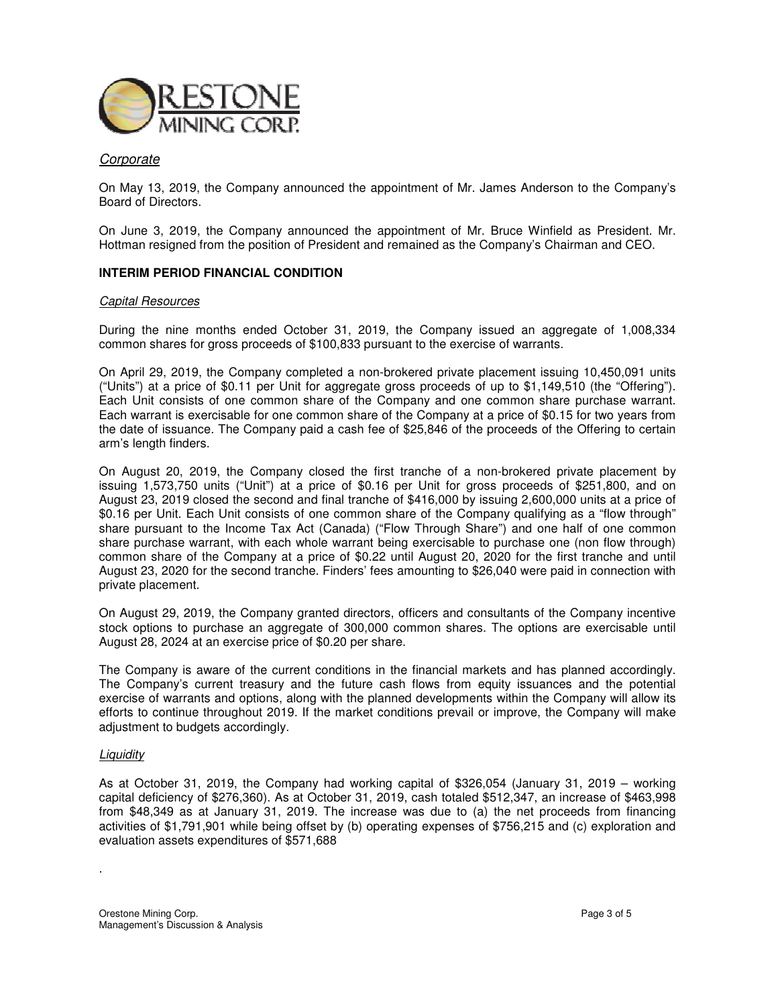

# **Corporate**

On May 13, 2019, the Company announced the appointment of Mr. James Anderson to the Company's Board of Directors.

On June 3, 2019, the Company announced the appointment of Mr. Bruce Winfield as President. Mr. Hottman resigned from the position of President and remained as the Company's Chairman and CEO.

## **INTERIM PERIOD FINANCIAL CONDITION**

#### Capital Resources

During the nine months ended October 31, 2019, the Company issued an aggregate of 1,008,334 common shares for gross proceeds of \$100,833 pursuant to the exercise of warrants.

On April 29, 2019, the Company completed a non-brokered private placement issuing 10,450,091 units ("Units") at a price of \$0.11 per Unit for aggregate gross proceeds of up to \$1,149,510 (the "Offering"). Each Unit consists of one common share of the Company and one common share purchase warrant. Each warrant is exercisable for one common share of the Company at a price of \$0.15 for two years from the date of issuance. The Company paid a cash fee of \$25,846 of the proceeds of the Offering to certain arm's length finders.

On August 20, 2019, the Company closed the first tranche of a non-brokered private placement by issuing 1,573,750 units ("Unit") at a price of \$0.16 per Unit for gross proceeds of \$251,800, and on August 23, 2019 closed the second and final tranche of \$416,000 by issuing 2,600,000 units at a price of \$0.16 per Unit. Each Unit consists of one common share of the Company qualifying as a "flow through" share pursuant to the Income Tax Act (Canada) ("Flow Through Share") and one half of one common share purchase warrant, with each whole warrant being exercisable to purchase one (non flow through) common share of the Company at a price of \$0.22 until August 20, 2020 for the first tranche and until August 23, 2020 for the second tranche. Finders' fees amounting to \$26,040 were paid in connection with private placement.

On August 29, 2019, the Company granted directors, officers and consultants of the Company incentive stock options to purchase an aggregate of 300,000 common shares. The options are exercisable until August 28, 2024 at an exercise price of \$0.20 per share.

The Company is aware of the current conditions in the financial markets and has planned accordingly. The Company's current treasury and the future cash flows from equity issuances and the potential exercise of warrants and options, along with the planned developments within the Company will allow its efforts to continue throughout 2019. If the market conditions prevail or improve, the Company will make adjustment to budgets accordingly.

#### **Liquidity**

.

As at October 31, 2019, the Company had working capital of \$326,054 (January 31, 2019 – working capital deficiency of \$276,360). As at October 31, 2019, cash totaled \$512,347, an increase of \$463,998 from \$48,349 as at January 31, 2019. The increase was due to (a) the net proceeds from financing activities of \$1,791,901 while being offset by (b) operating expenses of \$756,215 and (c) exploration and evaluation assets expenditures of \$571,688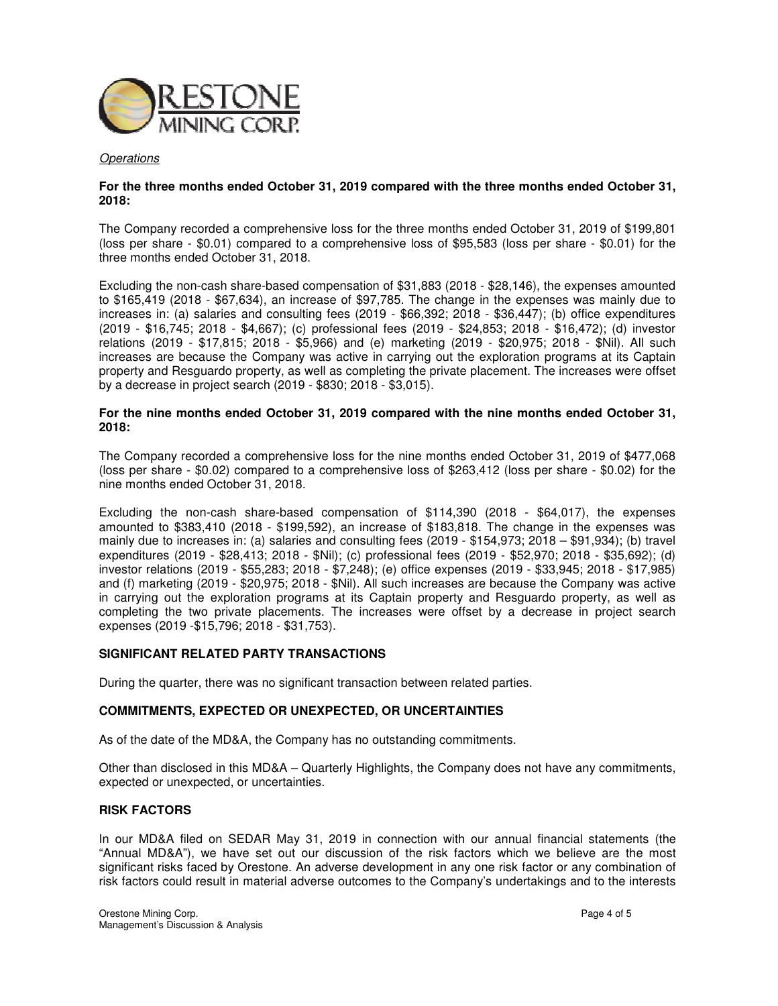

#### **Operations**

## **For the three months ended October 31, 2019 compared with the three months ended October 31, 2018:**

The Company recorded a comprehensive loss for the three months ended October 31, 2019 of \$199,801 (loss per share - \$0.01) compared to a comprehensive loss of \$95,583 (loss per share - \$0.01) for the three months ended October 31, 2018.

Excluding the non-cash share-based compensation of \$31,883 (2018 - \$28,146), the expenses amounted to \$165,419 (2018 - \$67,634), an increase of \$97,785. The change in the expenses was mainly due to increases in: (a) salaries and consulting fees (2019 - \$66,392; 2018 - \$36,447); (b) office expenditures (2019 - \$16,745; 2018 - \$4,667); (c) professional fees (2019 - \$24,853; 2018 - \$16,472); (d) investor relations (2019 - \$17,815; 2018 - \$5,966) and (e) marketing (2019 - \$20,975; 2018 - \$Nil). All such increases are because the Company was active in carrying out the exploration programs at its Captain property and Resguardo property, as well as completing the private placement. The increases were offset by a decrease in project search (2019 - \$830; 2018 - \$3,015).

### **For the nine months ended October 31, 2019 compared with the nine months ended October 31, 2018:**

The Company recorded a comprehensive loss for the nine months ended October 31, 2019 of \$477,068 (loss per share - \$0.02) compared to a comprehensive loss of \$263,412 (loss per share - \$0.02) for the nine months ended October 31, 2018.

Excluding the non-cash share-based compensation of \$114,390 (2018 - \$64,017), the expenses amounted to \$383,410 (2018 - \$199,592), an increase of \$183,818. The change in the expenses was mainly due to increases in: (a) salaries and consulting fees (2019 - \$154,973; 2018 – \$91,934); (b) travel expenditures (2019 - \$28,413; 2018 - \$Nil); (c) professional fees (2019 - \$52,970; 2018 - \$35,692); (d) investor relations (2019 - \$55,283; 2018 - \$7,248); (e) office expenses (2019 - \$33,945; 2018 - \$17,985) and (f) marketing (2019 - \$20,975; 2018 - \$Nil). All such increases are because the Company was active in carrying out the exploration programs at its Captain property and Resguardo property, as well as completing the two private placements. The increases were offset by a decrease in project search expenses (2019 -\$15,796; 2018 - \$31,753).

## **SIGNIFICANT RELATED PARTY TRANSACTIONS**

During the quarter, there was no significant transaction between related parties.

#### **COMMITMENTS, EXPECTED OR UNEXPECTED, OR UNCERTAINTIES**

As of the date of the MD&A, the Company has no outstanding commitments.

Other than disclosed in this MD&A – Quarterly Highlights, the Company does not have any commitments, expected or unexpected, or uncertainties.

#### **RISK FACTORS**

In our MD&A filed on SEDAR May 31, 2019 in connection with our annual financial statements (the "Annual MD&A"), we have set out our discussion of the risk factors which we believe are the most significant risks faced by Orestone. An adverse development in any one risk factor or any combination of risk factors could result in material adverse outcomes to the Company's undertakings and to the interests